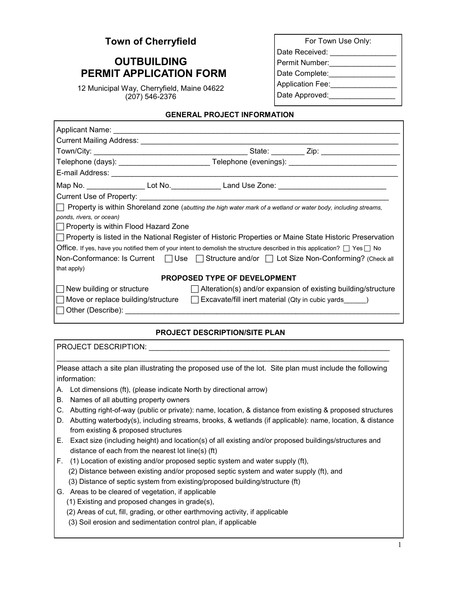## **Town of Cherryfield**

# **OUTBUILDING PERMIT APPLICATION FORM**

12 Municipal Way, Cherryfield, Maine 04622 (207) 546-2376

| For Town Use Only:      |
|-------------------------|
| Date Received:          |
| Permit Number:          |
| Date Complete:          |
| <b>Application Fee:</b> |
| Date Approved:          |
|                         |

#### **GENERAL PROJECT INFORMATION**

| Applicant Name: Name: Name and Applicant Name and Applicant Name and Applicant Applicant Applicant Applicant Applicant Applicant Applicant Applicant Applicant Applicant Applicant Applicant Applicant Applicant Applicant App |  |  |
|--------------------------------------------------------------------------------------------------------------------------------------------------------------------------------------------------------------------------------|--|--|
|                                                                                                                                                                                                                                |  |  |
|                                                                                                                                                                                                                                |  |  |
| Telephone (days): ________________________________Telephone (evenings): ____________________________                                                                                                                           |  |  |
|                                                                                                                                                                                                                                |  |  |
|                                                                                                                                                                                                                                |  |  |
|                                                                                                                                                                                                                                |  |  |
| Property is within Shoreland zone (abutting the high water mark of a wetland or water body, including streams,                                                                                                                 |  |  |
| ponds, rivers, or ocean)                                                                                                                                                                                                       |  |  |
| Property is within Flood Hazard Zone                                                                                                                                                                                           |  |  |
| □ Property is listed in the National Register of Historic Properties or Maine State Historic Preservation                                                                                                                      |  |  |
| Office. If yes, have you notified them of your intent to demolish the structure described in this application? $\Box$ Yes $\Box$ No                                                                                            |  |  |
| Non-Conformance: Is Current $\Box$ Use $\Box$ Structure and/or $\Box$ Lot Size Non-Conforming? (Check all                                                                                                                      |  |  |
| that apply)                                                                                                                                                                                                                    |  |  |
| <b>PROPOSED TYPE OF DEVELOPMENT</b>                                                                                                                                                                                            |  |  |
| New building or structure $\Box$ Alteration(s) and/or expansion of existing building/structure                                                                                                                                 |  |  |
| $\Box$ Move or replace building/structure $\Box$ Excavate/fill inert material (Qty in cubic yards $\Box$ )                                                                                                                     |  |  |
| Other (Describe):                                                                                                                                                                                                              |  |  |

## **PROJECT DESCRIPTION/SITE PLAN**

PROJECT DESCRIPTION: **EXAMPLE AND THE SECTION**  $\mathbf{C}$ 

Please attach a site plan illustrating the proposed use of the lot. Site plan must include the following information:

 $\mathcal{L}_\text{max}$  , and the set of the set of the set of the set of the set of the set of the set of the set of the set of the set of the set of the set of the set of the set of the set of the set of the set of the set of the

- A. Lot dimensions (ft), (please indicate North by directional arrow)
- B. Names of all abutting property owners
- C. Abutting right-of-way (public or private): name, location, & distance from existing & proposed structures
- D. Abutting waterbody(s), including streams, brooks, & wetlands (if applicable): name, location, & distance from existing & proposed structures
- E. Exact size (including height) and location(s) of all existing and/or proposed buildings/structures and distance of each from the nearest lot line(s) (ft)
- F. (1) Location of existing and/or proposed septic system and water supply (ft), (2) Distance between existing and/or proposed septic system and water supply (ft), and (3) Distance of septic system from existing/proposed building/structure (ft)
- G. Areas to be cleared of vegetation, if applicable
	- (1) Existing and proposed changes in grade(s),
	- (2) Areas of cut, fill, grading, or other earthmoving activity, if applicable
	- (3) Soil erosion and sedimentation control plan, if applicable